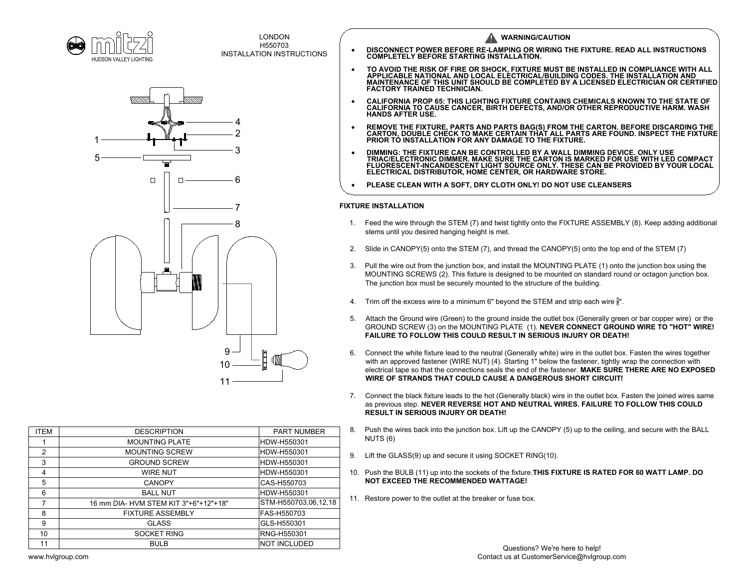



|                        | HUDSON VALLEY LIGHTING                | <b>LONDON</b><br>H550703<br><b>INSTALLATION INSTRUCTIONS</b> |    | <b>WARNING/CAUTION</b><br>DISCONNECT POWER BEFORE RE-LAMPING OR WIRING THE FIXTURE. READ ALL INSTRUCTIONS COMPLETELY BEFORE STARTING INSTALLATION.                                                                                                                                                                                                                                                      |
|------------------------|---------------------------------------|--------------------------------------------------------------|----|---------------------------------------------------------------------------------------------------------------------------------------------------------------------------------------------------------------------------------------------------------------------------------------------------------------------------------------------------------------------------------------------------------|
|                        |                                       |                                                              |    | TO AVOID THE RISK OF FIRE OR SHOCK, FIXTURE MUST BE INSTALLED IN COMPLIANCE WITH ALL APPLICABLE NATIONAL AND LOCAL ELECTRICAL BUILDING CODES. THE INSTALLATION AND<br>MAINTENANCE OF THIS UNIT SHOULD BE COMPLETED BY A LICENSED ELECTRICIAN OR CERTIFIED<br><b>FACTORY TRAINED TECHNICIAN.</b>                                                                                                         |
|                        |                                       |                                                              |    | CALIFORNIA PROP 65: THIS LIGHTING FIXTURE CONTAINS CHEMICALS KNOWN TO THE STATE OF CALIFORNIA TO CAUSE CANCER, BIRTH DEFECTS, AND/OR OTHER REPRODUCTIVE HARM. WASH<br><b>HANDS AFTER USE.</b>                                                                                                                                                                                                           |
|                        |                                       |                                                              |    | REMOVE THE FIXTURE, PARTS AND PARTS BAG(S) FROM THE CARTON. BEFORE DISCARDING THE CARTON, DOUBLE CHECK TO MAKE CERTAIN THAT ALL PARTS ARE FOUND. INSPECT THE FIXTURE<br>PRIOR TÓ INSTALLATION FOR ANY DAMAGE TO THE FIXTURE.                                                                                                                                                                            |
|                        |                                       | З                                                            |    | DIMMING: THE FIXTURE CAN BE CONTROLLED BY A WALL DIMMING DEVICE. ONLY USE<br>TRIAC/ELECTRONIC DIMMER. MAKE SURE THE CARTON IS MARKED FOR USE WITH LED COMPACT<br>FLUORESCENT-INCANDESCENT LIGHT SOURCE ONLY. THESE CAN BE PROVIDED B                                                                                                                                                                    |
|                        | $\Box$                                |                                                              |    | PLEASE CLEAN WITH A SOFT, DRY CLOTH ONLY! DO NOT USE CLEANSERS                                                                                                                                                                                                                                                                                                                                          |
|                        |                                       |                                                              |    | <b>FIXTURE INSTALLATION</b>                                                                                                                                                                                                                                                                                                                                                                             |
|                        |                                       | 8                                                            | 1. | Feed the wire through the STEM (7) and twist tightly onto the FIXTURE ASSEMBLY (8). Keep adding additional<br>stems until you desired hanging height is met.                                                                                                                                                                                                                                            |
|                        |                                       |                                                              | 2. | Slide in CANOPY(5) onto the STEM (7), and thread the CANOPY(5) onto the top end of the STEM (7)                                                                                                                                                                                                                                                                                                         |
|                        |                                       |                                                              | 3. | Pull the wire out from the junction box, and install the MOUNTING PLATE (1) onto the junction box using the<br>MOUNTING SCREWS (2). This fixture is designed to be mounted on standard round or octagon junction box.<br>The junction box must be securely mounted to the structure of the building.                                                                                                    |
|                        |                                       |                                                              | 4. | Trim off the excess wire to a minimum 6" beyond the STEM and strip each wire $\frac{5}{8}$ ".                                                                                                                                                                                                                                                                                                           |
|                        |                                       |                                                              | 5. | Attach the Ground wire (Green) to the ground inside the outlet box (Generally green or bar copper wire) or the<br>GROUND SCREW (3) on the MOUNTING PLATE (1). NEVER CONNECT GROUND WIRE TO "HOT" WIRE!<br><b>FAILURE TO FOLLOW THIS COULD RESULT IN SERIOUS INJURY OR DEATH!</b>                                                                                                                        |
|                        |                                       | 9<br>10<br>$11 -$                                            | 6. | Connect the white fixture lead to the neutral (Generally white) wire in the outlet box. Fasten the wires together<br>with an approved fastener (WIRE NUT) (4). Starting 1" below the fastener, tightly wrap the connection with<br>electrical tape so that the connections seals the end of the fastener. MAKE SURE THERE ARE NO EXPOSED<br>WIRE OF STRANDS THAT COULD CAUSE A DANGEROUS SHORT CIRCUIT! |
|                        |                                       |                                                              | 7. | Connect the black fixture leads to the hot (Generally black) wire in the outlet box. Fasten the joined wires same<br>as previous step. NEVER REVERSE HOT AND NEUTRAL WIRES. FAILURE TO FOLLOW THIS COULD<br><b>RESULT IN SERIOUS INJURY OR DEATH!</b>                                                                                                                                                   |
| <b>ITEM</b>            | <b>DESCRIPTION</b>                    | <b>PART NUMBER</b>                                           | 8. | Push the wires back into the junction box. Lift up the CANOPY (5) up to the ceiling, and secure with the BALL                                                                                                                                                                                                                                                                                           |
| $\mathbf{1}$           | <b>MOUNTING PLATE</b>                 | HDW-H550301                                                  |    | NUTS (6)                                                                                                                                                                                                                                                                                                                                                                                                |
| $\overline{2}$         | MOUNTING SCREW                        | HDW-H550301                                                  | 9. | Lift the GLASS(9) up and secure it using SOCKET RING(10).                                                                                                                                                                                                                                                                                                                                               |
| 3<br>$\overline{4}$    | <b>GROUND SCREW</b>                   | HDW-H550301                                                  |    |                                                                                                                                                                                                                                                                                                                                                                                                         |
| 5                      | <b>WIRE NUT</b><br><b>CANOPY</b>      | HDW-H550301<br>CAS-H550703                                   |    | 10. Push the BULB (11) up into the sockets of the fixture. THIS FIXTURE IS RATED FOR 60 WATT LAMP. DO<br><b>NOT EXCEED THE RECOMMENDED WATTAGE!</b>                                                                                                                                                                                                                                                     |
| 6                      | <b>BALL NUT</b>                       | HDW-H550301                                                  |    |                                                                                                                                                                                                                                                                                                                                                                                                         |
| $\overline{7}$         | 16 mm DIA- HVM STEM KIT 3"+6"+12"+18" | STM-H550703,06,12,18                                         |    | 11. Restore power to the outlet at the breaker or fuse box.                                                                                                                                                                                                                                                                                                                                             |
| 8                      | <b>FIXTURE ASSEMBLY</b>               | FAS-H550703                                                  |    |                                                                                                                                                                                                                                                                                                                                                                                                         |
| 9                      | <b>GLASS</b>                          | GLS-H550301                                                  |    |                                                                                                                                                                                                                                                                                                                                                                                                         |
| 10                     | <b>SOCKET RING</b><br>BULB            | RNG-H550301                                                  |    |                                                                                                                                                                                                                                                                                                                                                                                                         |
| 11<br>www.hvlgroup.com |                                       | <b>NOT INCLUDED</b>                                          |    | Questions? We're here to help!<br>Contact us at CustomerService@hvlgroup.com                                                                                                                                                                                                                                                                                                                            |

- 
- 
- 
- 
- FAILURE TO FOLLOW THIS COULD RESULT IN SERIOUS INJURY OR DEATH!<br>6. Connect the white fixture lead to the neutral (Generally white) wire in the outlet box. Fasten the wires together<br>with an approved fastener (WIRE NUT) (4). GROUND SCREW (3) on the MOUNTING PLATE (1). **NEVER CONNECT GROUND WIRE TO "HOT" WI**<br>FAILURE TO FOLLOW THIS COULD RESULT IN SERIOUS INJURY OR DEATH!<br>Connect the white fixture lead to the neutral (Generally white) wire in th
- WIRE OF STRANDS THAT COULD CAUSE<br>Connect the black fixture leads to the hot (G<br>as previous step. NEVER REVERSE HOT A<br>RESULT IN SERIOUS INJURY OR DEATH! electrical tape so that the connections seals the end of the fastener. MAKE SURE THERE ARE NO EXPOSE<br>WIRE OF STRANDS THAT COULD CAUSE A DANGEROUS SHORT CIRCUIT!<br>7. Connect the black fixture leads to the hot (Generally blac as previous step. NEVER REVERSE HOT AND NEUTRAL WIRES. FAILURE TO FOLLOW THIS COULD<br>RESULT IN SERIOUS INJURY OR DEATH!<br>8. Push the wires back into the junction box. Lift up the CANOPY (5) up to the ceiling, and secure with 10. Connect the black fixture leads to the hot (Generally black) wire in the outlet box. Fasten the joined wires sate as previous step. **NEVER REVERSE HOT AND NEUTRAL WIRES. FAILURE TO FOLLOW THIS COULD RESULT IN SERIOUS I**
- 
- 9. Lift the GLASS(9) up and secure it using SOCKET RING(10).
- 10. Push the BULB (11) up into the sockets of the fixture. **THIS FIXTURE IS RATED FOR 60 WATT LAMP. DO** NOT EXCEED THE RECOMMENDED WATTAGE!
- 

| <b>ITEM</b>    | <b>DESCRIPTION</b>                    | <b>PART NUMBER</b>   |
|----------------|---------------------------------------|----------------------|
|                | <b>MOUNTING PLATE</b>                 | HDW-H550301          |
| $\overline{2}$ | <b>MOUNTING SCREW</b>                 | HDW-H550301          |
| 3              | <b>GROUND SCREW</b>                   | HDW-H550301          |
| 4              | <b>WIRE NUT</b>                       | HDW-H550301          |
| 5              | <b>CANOPY</b>                         | CAS-H550703          |
| 6              | <b>BALL NUT</b>                       | HDW-H550301          |
|                | 16 mm DIA- HVM STEM KIT 3"+6"+12"+18" | STM-H550703,06,12,18 |
| 8              | <b>FIXTURE ASSEMBLY</b>               | FAS-H550703          |
| 9              | <b>GLASS</b>                          | GLS-H550301          |
| 10             | <b>SOCKET RING</b>                    | <b>RNG-H550301</b>   |
| 11             | <b>BULB</b>                           | <b>NOT INCLUDED</b>  |